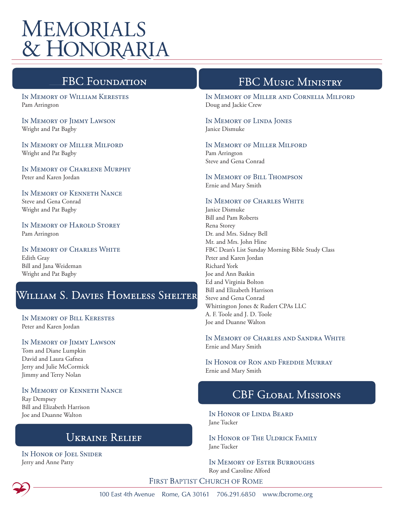# **MEMORIALS** & HONORARIA

## **FBC Foundati**

In Memory of William Kerestes Pam Arrington

In Memory of Jimmy Lawson Wright and Pat Bagby

In Memory of Miller Milford Wright and Pat Bagby

In Memory of Charlene Murphy Peter and Karen Jordan

In Memory of Kenneth Nance Steve and Gena Conrad Wright and Pat Bagby

In Memory of Harold Storey Pam Arrington

In Memory of Charles White Edith Gray Bill and Jana Weideman Wright and Pat Bagby

## William S. Davies Homeless Shelter

In Memory of Bill Kerestes Peter and Karen Jordan

In Memory of Jimmy Lawson

Tom and Diane Lumpkin David and Laura Gafnea Jerry and Julie McCormick Jimmy and Terry Nolan

In Memory of Kenneth Nance Ray Dempsey Bill and Elizabeth Harrison Joe and Duanne Walton

### **UKRAINE RELIEF**

In Honor of Joel Snider Jerry and Anne Patty

# FBC MUSIC MINISTRY

In Memory of Miller and Cornelia Milford Doug and Jackie Crew

#### In Memory of Linda Jones Janice Dismuke

In Memory of Miller Milford

Pam Arrington Steve and Gena Conrad

In Memory of Bill Thompson Ernie and Mary Smith

#### In Memory of Charles White

Janice Dismuke Bill and Pam Roberts Rena Storey Dr. and Mrs. Sidney Bell Mr. and Mrs. John Hine FBC Dean's List Sunday Morning Bible Study Class Peter and Karen Jordan Richard York Joe and Ann Baskin Ed and Virginia Bolton Bill and Elizabeth Harrison Steve and Gena Conrad Whittington Jones & Rudert CPAs LLC A. F. Toole and J. D. Toole Joe and Duanne Walton

In Memory of Charles and Sandra White Ernie and Mary Smith

In Honor of Ron and Freddie Murray Ernie and Mary Smith

### **CBF GLOBAL MISSIONS**

In Honor of Linda Beard Jane Tucker

In Honor of The Uldrick Family Jane Tucker

In Memory of Ester Burroughs Roy and Caroline Alford

FIRST BAPTIST CHURCH OF ROME



100 East 4th Avenue Rome, GA 30161 706.291.6850 www.fbcrome.org